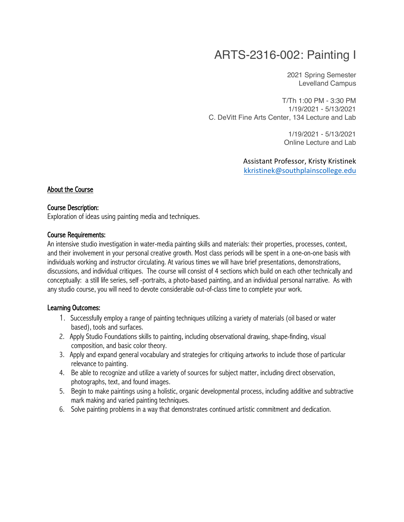# ARTS-2316-002: Painting I

2021 Spring Semester Levelland Campus

T/Th 1:00 PM - 3:30 PM 1/19/2021 - 5/13/2021 C. DeVitt Fine Arts Center, 134 Lecture and Lab

> 1/19/2021 - 5/13/2021 Online Lecture and Lab

Assistant Professor, Kristy Kristinek kkristinek@southplainscollege.edu

#### About the Course

#### Course Description:

Exploration of ideas using painting media and techniques.

#### Course Requirements:

An intensive studio investigation in water-media painting skills and materials: their properties, processes, context, and their involvement in your personal creative growth. Most class periods will be spent in a one-on-one basis with individuals working and instructor circulating. At various times we will have brief presentations, demonstrations, discussions, and individual critiques. The course will consist of 4 sections which build on each other technically and conceptually: a still life series, self -portraits, a photo-based painting, and an individual personal narrative. As with any studio course, you will need to devote considerable out-of-class time to complete your work.

#### Learning Outcomes:

- 1. Successfully employ a range of painting techniques utilizing a variety of materials (oil based or water based), tools and surfaces.
- 2. Apply Studio Foundations skills to painting, including observational drawing, shape-finding, visual composition, and basic color theory.
- 3. Apply and expand general vocabulary and strategies for critiquing artworks to include those of particular relevance to painting.
- 4. Be able to recognize and utilize a variety of sources for subject matter, including direct observation, photographs, text, and found images.
- 5. Begin to make paintings using a holistic, organic developmental process, including additive and subtractive mark making and varied painting techniques.
- 6. Solve painting problems in a way that demonstrates continued artistic commitment and dedication.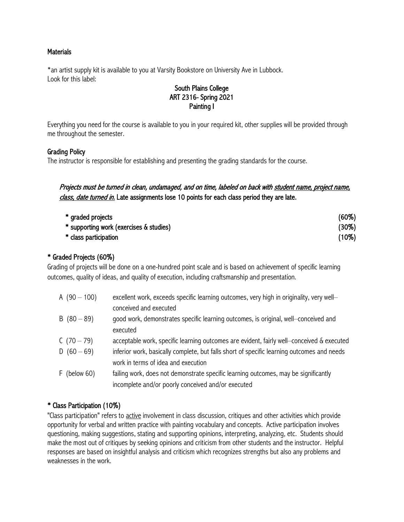## **Materials**

\*an artist supply kit is available to you at Varsity Bookstore on University Ave in Lubbock. Look for this label:

## South Plains College ART 2316- Spring 2021 Painting I

Everything you need for the course is available to you in your required kit, other supplies will be provided through me throughout the semester.

#### Grading Policy

The instructor is responsible for establishing and presenting the grading standards for the course.

Projects must be turned in clean, undamaged, and on time, labeled on back with student name, project name, class, date turned in. Late assignments lose 10 points for each class period they are late.

| * graded projects                       | $(60\%)$ |
|-----------------------------------------|----------|
| * supporting work (exercises & studies) | $(30\%)$ |
| * class participation                   | $(10\%)$ |

## \* Graded Projects (60%)

Grading of projects will be done on a one-hundred point scale and is based on achievement of specific learning outcomes, quality of ideas, and quality of execution, including craftsmanship and presentation.

| A $(90 - 100)$ | excellent work, exceeds specific learning outcomes, very high in originality, very well-   |
|----------------|--------------------------------------------------------------------------------------------|
|                | conceived and executed                                                                     |
| $B(80-89)$     | good work, demonstrates specific learning outcomes, is original, well-conceived and        |
|                | executed                                                                                   |
| C $(70-79)$    | acceptable work, specific learning outcomes are evident, fairly well-conceived & executed  |
| D $(60 - 69)$  | inferior work, basically complete, but falls short of specific learning outcomes and needs |
|                | work in terms of idea and execution                                                        |
| $F$ (below 60) | failing work, does not demonstrate specific learning outcomes, may be significantly        |
|                | incomplete and/or poorly conceived and/or executed                                         |

# \* Class Participation (10%)

"Class participation" refers to active involvement in class discussion, critiques and other activities which provide opportunity for verbal and written practice with painting vocabulary and concepts. Active participation involves questioning, making suggestions, stating and supporting opinions, interpreting, analyzing, etc. Students should make the most out of critiques by seeking opinions and criticism from other students and the instructor. Helpful responses are based on insightful analysis and criticism which recognizes strengths but also any problems and weaknesses in the work.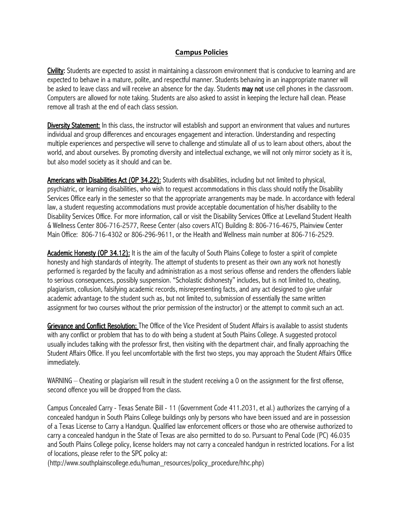#### **Campus Policies**

Civility: Students are expected to assist in maintaining a classroom environment that is conducive to learning and are expected to behave in a mature, polite, and respectful manner. Students behaving in an inappropriate manner will be asked to leave class and will receive an absence for the day. Students **may not** use cell phones in the classroom. Computers are allowed for note taking. Students are also asked to assist in keeping the lecture hall clean. Please remove all trash at the end of each class session.

**Diversity Statement:** In this class, the instructor will establish and support an environment that values and nurtures individual and group differences and encourages engagement and interaction. Understanding and respecting multiple experiences and perspective will serve to challenge and stimulate all of us to learn about others, about the world, and about ourselves. By promoting diversity and intellectual exchange, we will not only mirror society as it is, but also model society as it should and can be.

Americans with Disabilities Act (OP 34.22): Students with disabilities, including but not limited to physical, psychiatric, or learning disabilities, who wish to request accommodations in this class should notify the Disability Services Office early in the semester so that the appropriate arrangements may be made. In accordance with federal law, a student requesting accommodations must provide acceptable documentation of his/her disability to the Disability Services Office. For more information, call or visit the Disability Services Office at Levelland Student Health & Wellness Center 806-716-2577, Reese Center (also covers ATC) Building 8: 806-716-4675, Plainview Center Main Office: 806-716-4302 or 806-296-9611, or the Health and Wellness main number at 806-716-2529.

Academic Honesty (OP 34.12): It is the aim of the faculty of South Plains College to foster a spirit of complete honesty and high standards of integrity. The attempt of students to present as their own any work not honestly performed is regarded by the faculty and administration as a most serious offense and renders the offenders liable to serious consequences, possibly suspension. "Scholastic dishonesty" includes, but is not limited to, cheating, plagiarism, collusion, falsifying academic records, misrepresenting facts, and any act designed to give unfair academic advantage to the student such as, but not limited to, submission of essentially the same written assignment for two courses without the prior permission of the instructor) or the attempt to commit such an act.

Grievance and Conflict Resolution: The Office of the Vice President of Student Affairs is available to assist students with any conflict or problem that has to do with being a student at South Plains College. A suggested protocol usually includes talking with the professor first, then visiting with the department chair, and finally approaching the Student Affairs Office. If you feel uncomfortable with the first two steps, you may approach the Student Affairs Office immediately.

WARNING – Cheating or plagiarism will result in the student receiving a 0 on the assignment for the first offense, second offence you will be dropped from the class.

Campus Concealed Carry - Texas Senate Bill - 11 (Government Code 411.2031, et al.) authorizes the carrying of a concealed handgun in South Plains College buildings only by persons who have been issued and are in possession of a Texas License to Carry a Handgun. Qualified law enforcement officers or those who are otherwise authorized to carry a concealed handgun in the State of Texas are also permitted to do so. Pursuant to Penal Code (PC) 46.035 and South Plains College policy, license holders may not carry a concealed handgun in restricted locations. For a list of locations, please refer to the SPC policy at:

(http://www.southplainscollege.edu/human\_resources/policy\_procedure/hhc.php)